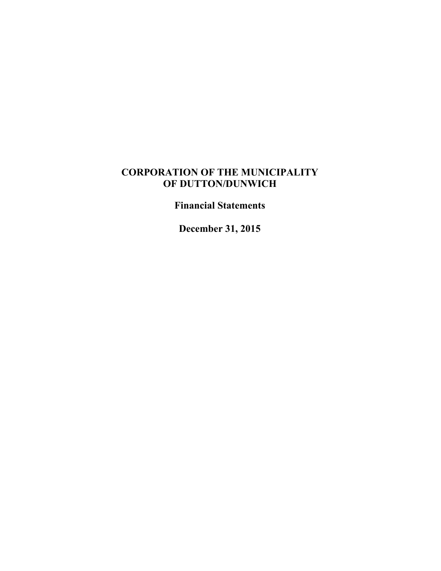### **CORPORATION OF THE MUNICIPALITY OF DUTTON/DUNWICH**

**Financial Statements**

**December 31, 2015**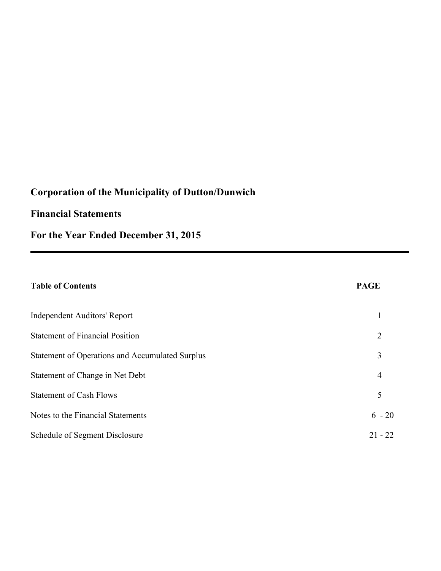### **Financial Statements**

**For the Year Ended December 31, 2015**

# **Table of Contents PAGE** Independent Auditors' Report 1 Statement of Financial Position 2 Statement of Operations and Accumulated Surplus 3 Statement of Change in Net Debt 4 Statement of Cash Flows 5 Notes to the Financial Statements 6 - 20 Schedule of Segment Disclosure 21 - 22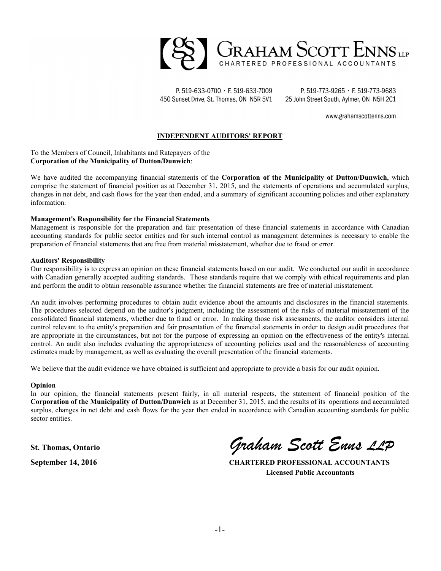

P. 519-633-0700 · F. 519-633-7009 450 Sunset Drive, St. Thomas, ON N5R 5V1

P. 519-773-9265 · F. 519-773-9683 25 John Street South, Aylmer, ON N5H 2C1

www.grahamscottenns.com

#### **INDEPENDENT AUDITORS' REPORT**

To the Members of Council, Inhabitants and Ratepayers of the **Corporation of the Municipality of Dutton/Dunwich**:

We have audited the accompanying financial statements of the **Corporation of the Municipality of Dutton/Dunwich**, which comprise the statement of financial position as at December 31, 2015, and the statements of operations and accumulated surplus, changes in net debt, and cash flows for the year then ended, and a summary of significant accounting policies and other explanatory information.

#### **Management's Responsibility for the Financial Statements**

Management is responsible for the preparation and fair presentation of these financial statements in accordance with Canadian accounting standards for public sector entities and for such internal control as management determines is necessary to enable the preparation of financial statements that are free from material misstatement, whether due to fraud or error.

#### **Auditors' Responsibility**

Our responsibility is to express an opinion on these financial statements based on our audit. We conducted our audit in accordance with Canadian generally accepted auditing standards. Those standards require that we comply with ethical requirements and plan and perform the audit to obtain reasonable assurance whether the financial statements are free of material misstatement.

An audit involves performing procedures to obtain audit evidence about the amounts and disclosures in the financial statements. The procedures selected depend on the auditor's judgment, including the assessment of the risks of material misstatement of the consolidated financial statements, whether due to fraud or error. In making those risk assessments, the auditor considers internal control relevant to the entity's preparation and fair presentation of the financial statements in order to design audit procedures that are appropriate in the circumstances, but not for the purpose of expressing an opinion on the effectiveness of the entity's internal control. An audit also includes evaluating the appropriateness of accounting policies used and the reasonableness of accounting estimates made by management, as well as evaluating the overall presentation of the financial statements.

We believe that the audit evidence we have obtained is sufficient and appropriate to provide a basis for our audit opinion.

#### **Opinion**

In our opinion, the financial statements present fairly, in all material respects, the statement of financial position of the **Corporation of the Municipality of Dutton/Dunwich** as at December 31, 2015, and the results of its operations and accumulated surplus, changes in net debt and cash flows for the year then ended in accordance with Canadian accounting standards for public sector entities.

**St. Thomas, Ontario** *Graham Scott Enns LLP*

**September 14, 2016 CHARTERED PROFESSIONAL ACCOUNTANTS Licensed Public Accountants**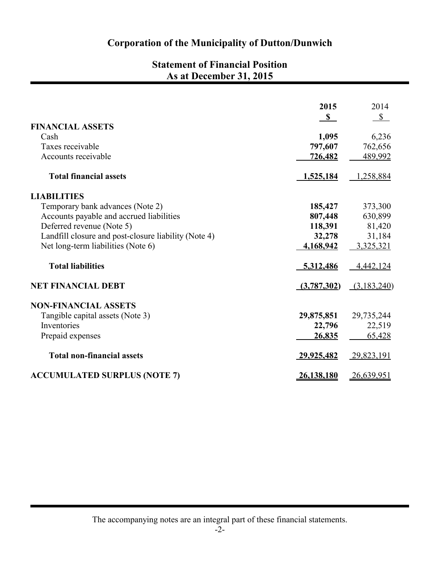### **Statement of Financial Position As at December 31, 2015**

|                                                      | 2015              | 2014          |
|------------------------------------------------------|-------------------|---------------|
|                                                      | $\mathbf{s}$      | $\mathcal{S}$ |
| <b>FINANCIAL ASSETS</b>                              |                   |               |
| Cash                                                 | 1,095             | 6,236         |
| Taxes receivable                                     | 797,607           | 762,656       |
| Accounts receivable                                  | 726,482           | 489,992       |
| <b>Total financial assets</b>                        | 1,525,184         | 1,258,884     |
| <b>LIABILITIES</b>                                   |                   |               |
| Temporary bank advances (Note 2)                     | 185,427           | 373,300       |
| Accounts payable and accrued liabilities             | 807,448           | 630,899       |
| Deferred revenue (Note 5)                            | 118,391           | 81,420        |
| Landfill closure and post-closure liability (Note 4) | 32,278            | 31,184        |
| Net long-term liabilities (Note 6)                   | 4,168,942         | 3,325,321     |
| <b>Total liabilities</b>                             | 5,312,486         | 4,442,124     |
| <b>NET FINANCIAL DEBT</b>                            | (3,787,302)       | (3,183,240)   |
| <b>NON-FINANCIAL ASSETS</b>                          |                   |               |
| Tangible capital assets (Note 3)                     | 29,875,851        | 29,735,244    |
| Inventories                                          | 22,796            | 22,519        |
| Prepaid expenses                                     | 26,835            | 65,428        |
| <b>Total non-financial assets</b>                    | <u>29,925,482</u> | 29,823,191    |
| <b>ACCUMULATED SURPLUS (NOTE 7)</b>                  | 26,138,180        | 26,639,951    |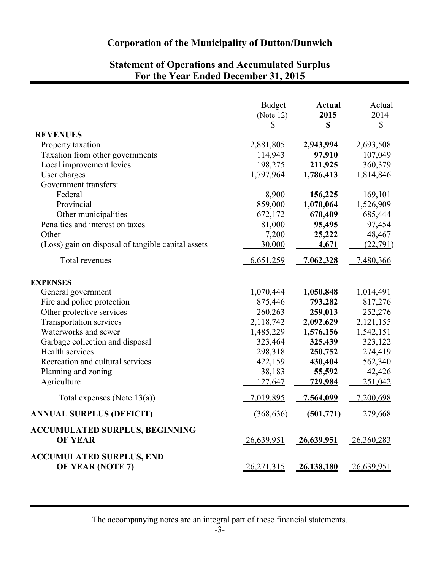### **Statement of Operations and Accumulated Surplus For the Year Ended December 31, 2015**

|                                                    | <b>Budget</b> | <b>Actual</b>     | Actual       |
|----------------------------------------------------|---------------|-------------------|--------------|
|                                                    | (Note 12)     | 2015              | 2014         |
|                                                    | \$            | $\mathbf{s}$      | $\mathbb{S}$ |
| <b>REVENUES</b>                                    |               |                   |              |
| Property taxation                                  | 2,881,805     | 2,943,994         | 2,693,508    |
| Taxation from other governments                    | 114,943       | 97,910            | 107,049      |
| Local improvement levies                           | 198,275       | 211,925           | 360,379      |
| User charges                                       | 1,797,964     | 1,786,413         | 1,814,846    |
| Government transfers:                              |               |                   |              |
| Federal                                            | 8,900         | 156,225           | 169,101      |
| Provincial                                         | 859,000       | 1,070,064         | 1,526,909    |
|                                                    |               |                   |              |
| Other municipalities                               | 672,172       | 670,409           | 685,444      |
| Penalties and interest on taxes                    | 81,000        | 95,495            | 97,454       |
| Other                                              | 7,200         | 25,222            | 48,467       |
| (Loss) gain on disposal of tangible capital assets | 30,000        | 4,671             | (22, 791)    |
| Total revenues                                     | 6,651,259     | 7,062,328         | 7,480,366    |
| <b>EXPENSES</b>                                    |               |                   |              |
| General government                                 | 1,070,444     | 1,050,848         | 1,014,491    |
| Fire and police protection                         | 875,446       | 793,282           | 817,276      |
| Other protective services                          | 260,263       | 259,013           | 252,276      |
| <b>Transportation services</b>                     | 2,118,742     | 2,092,629         | 2,121,155    |
| Waterworks and sewer                               | 1,485,229     | 1,576,156         | 1,542,151    |
| Garbage collection and disposal                    | 323,464       | 325,439           | 323,122      |
| Health services                                    | 298,318       | 250,752           | 274,419      |
| Recreation and cultural services                   | 422,159       | 430,404           | 562,340      |
| Planning and zoning                                | 38,183        | 55,592            | 42,426       |
| Agriculture                                        | 127,647       | 729,984           | 251,042      |
|                                                    |               |                   |              |
| Total expenses (Note $13(a)$ )                     | 7,019,895     | <u>7,564,099</u>  | 7,200,698    |
| <b>ANNUAL SURPLUS (DEFICIT)</b>                    | (368, 636)    | (501, 771)        | 279,668      |
| <b>ACCUMULATED SURPLUS, BEGINNING</b>              |               |                   |              |
| <b>OF YEAR</b>                                     | 26,639,951    | <u>26,639,951</u> | 26,360,283   |
| <b>ACCUMULATED SURPLUS, END</b>                    |               |                   |              |
| OF YEAR (NOTE 7)                                   | 26,271,315    | 26,138,180        | 26,639,951   |

The accompanying notes are an integral part of these financial statements.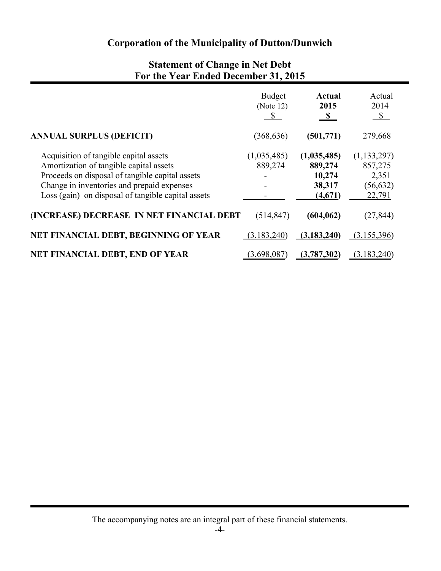| <b>Statement of Change in Net Debt</b> |
|----------------------------------------|
| For the Year Ended December 31, 2015   |

|                                                                                                                                                                                                                                          | <b>Budget</b><br>(Note 12)<br>$\mathbb{S}$ | <b>Actual</b><br>2015<br>$\mathbf{s}$                 | Actual<br>2014<br>$\mathcal{S}$                          |
|------------------------------------------------------------------------------------------------------------------------------------------------------------------------------------------------------------------------------------------|--------------------------------------------|-------------------------------------------------------|----------------------------------------------------------|
| <b>ANNUAL SURPLUS (DEFICIT)</b>                                                                                                                                                                                                          | (368, 636)                                 | (501,771)                                             | 279,668                                                  |
| Acquisition of tangible capital assets<br>Amortization of tangible capital assets<br>Proceeds on disposal of tangible capital assets<br>Change in inventories and prepaid expenses<br>Loss (gain) on disposal of tangible capital assets | (1,035,485)<br>889,274                     | (1,035,485)<br>889,274<br>10,274<br>38,317<br>(4,671) | (1, 133, 297)<br>857,275<br>2,351<br>(56, 632)<br>22,791 |
| (INCREASE) DECREASE IN NET FINANCIAL DEBT                                                                                                                                                                                                | (514, 847)                                 | (604, 062)                                            | (27, 844)                                                |
| NET FINANCIAL DEBT, BEGINNING OF YEAR                                                                                                                                                                                                    | (3,183,240)                                | (3, 183, 240)                                         | (3,155,396)                                              |
| NET FINANCIAL DEBT, END OF YEAR                                                                                                                                                                                                          | (3,698,087)                                | (3,787,302)                                           | (3,183,240)                                              |

The accompanying notes are an integral part of these financial statements.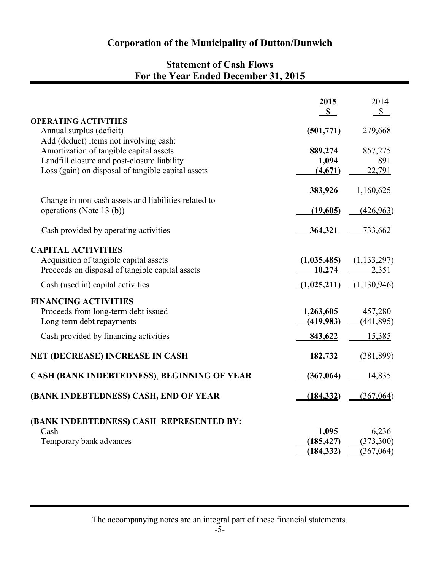### **Statement of Cash Flows For the Year Ended December 31, 2015**

| <b>OPERATING ACTIVITIES</b>                                                                                                                                                            | 2015<br>$\mathbf{s}$                 | 2014<br>$\mathbb{S}$                  |
|----------------------------------------------------------------------------------------------------------------------------------------------------------------------------------------|--------------------------------------|---------------------------------------|
| Annual surplus (deficit)                                                                                                                                                               | (501,771)                            | 279,668                               |
| Add (deduct) items not involving cash:<br>Amortization of tangible capital assets<br>Landfill closure and post-closure liability<br>Loss (gain) on disposal of tangible capital assets | 889,274<br>1,094<br>(4,671)          | 857,275<br>891<br>22,791              |
| Change in non-cash assets and liabilities related to<br>operations (Note 13 (b))                                                                                                       | 383,926<br>(19,605)                  | 1,160,625<br>(426, 963)               |
| Cash provided by operating activities                                                                                                                                                  | 364,321                              | 733,662                               |
| <b>CAPITAL ACTIVITIES</b><br>Acquisition of tangible capital assets<br>Proceeds on disposal of tangible capital assets<br>Cash (used in) capital activities                            | (1,035,485)<br>10,274<br>(1,025,211) | (1, 133, 297)<br>2,351<br>(1,130,946) |
| <b>FINANCING ACTIVITIES</b><br>Proceeds from long-term debt issued<br>Long-term debt repayments                                                                                        | 1,263,605<br>(419,983)               | 457,280<br>(441,895)                  |
| Cash provided by financing activities                                                                                                                                                  | 843,622                              | 15,385                                |
| <b>NET (DECREASE) INCREASE IN CASH</b>                                                                                                                                                 | 182,732                              | (381, 899)                            |
| <b>CASH (BANK INDEBTEDNESS), BEGINNING OF YEAR</b>                                                                                                                                     | (367, 064)                           | 14,835                                |
| (BANK INDEBTEDNESS) CASH, END OF YEAR                                                                                                                                                  | (184, 332)                           | (367,064)                             |
| (BANK INDEBTEDNESS) CASH REPRESENTED BY:<br>Cash<br>Temporary bank advances                                                                                                            | 1,095<br>(185, 427)<br>(184, 332)    | 6,236<br>(373,300)<br>(367,064)       |

The accompanying notes are an integral part of these financial statements.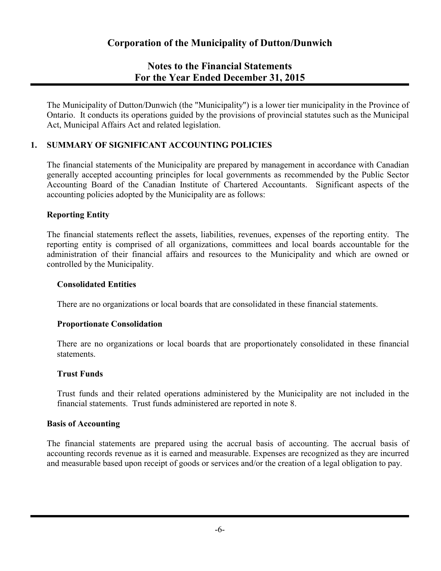The Municipality of Dutton/Dunwich (the "Municipality") is a lower tier municipality in the Province of Ontario. It conducts its operations guided by the provisions of provincial statutes such as the Municipal Act, Municipal Affairs Act and related legislation.

### **1. SUMMARY OF SIGNIFICANT ACCOUNTING POLICIES**

The financial statements of the Municipality are prepared by management in accordance with Canadian generally accepted accounting principles for local governments as recommended by the Public Sector Accounting Board of the Canadian Institute of Chartered Accountants. Significant aspects of the accounting policies adopted by the Municipality are as follows:

### **Reporting Entity**

The financial statements reflect the assets, liabilities, revenues, expenses of the reporting entity. The reporting entity is comprised of all organizations, committees and local boards accountable for the administration of their financial affairs and resources to the Municipality and which are owned or controlled by the Municipality.

#### **Consolidated Entities**

There are no organizations or local boards that are consolidated in these financial statements.

### **Proportionate Consolidation**

There are no organizations or local boards that are proportionately consolidated in these financial statements.

### **Trust Funds**

Trust funds and their related operations administered by the Municipality are not included in the financial statements. Trust funds administered are reported in note 8.

#### **Basis of Accounting**

The financial statements are prepared using the accrual basis of accounting. The accrual basis of accounting records revenue as it is earned and measurable. Expenses are recognized as they are incurred and measurable based upon receipt of goods or services and/or the creation of a legal obligation to pay.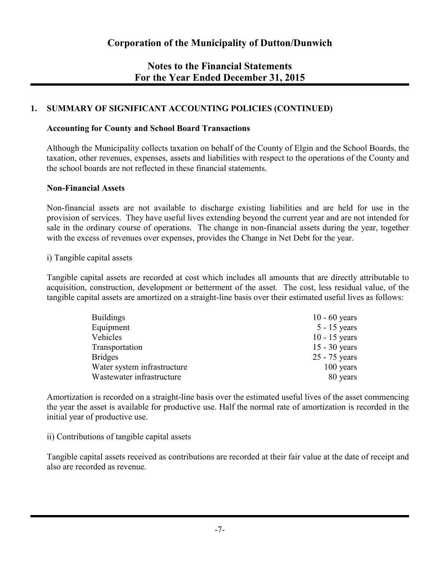### **1. SUMMARY OF SIGNIFICANT ACCOUNTING POLICIES (CONTINUED)**

#### **Accounting for County and School Board Transactions**

Although the Municipality collects taxation on behalf of the County of Elgin and the School Boards, the taxation, other revenues, expenses, assets and liabilities with respect to the operations of the County and the school boards are not reflected in these financial statements.

#### **Non-Financial Assets**

Non-financial assets are not available to discharge existing liabilities and are held for use in the provision of services. They have useful lives extending beyond the current year and are not intended for sale in the ordinary course of operations. The change in non-financial assets during the year, together with the excess of revenues over expenses, provides the Change in Net Debt for the year.

#### i) Tangible capital assets

Tangible capital assets are recorded at cost which includes all amounts that are directly attributable to acquisition, construction, development or betterment of the asset. The cost, less residual value, of the tangible capital assets are amortized on a straight-line basis over their estimated useful lives as follows:

| <b>Buildings</b>            | $10 - 60$ years |
|-----------------------------|-----------------|
| Equipment                   | $5 - 15$ years  |
| Vehicles                    | $10 - 15$ years |
| Transportation              | $15 - 30$ years |
| <b>Bridges</b>              | 25 - 75 years   |
| Water system infrastructure | 100 years       |
| Wastewater infrastructure   | 80 years        |

Amortization is recorded on a straight-line basis over the estimated useful lives of the asset commencing the year the asset is available for productive use. Half the normal rate of amortization is recorded in the initial year of productive use.

#### ii) Contributions of tangible capital assets

Tangible capital assets received as contributions are recorded at their fair value at the date of receipt and also are recorded as revenue.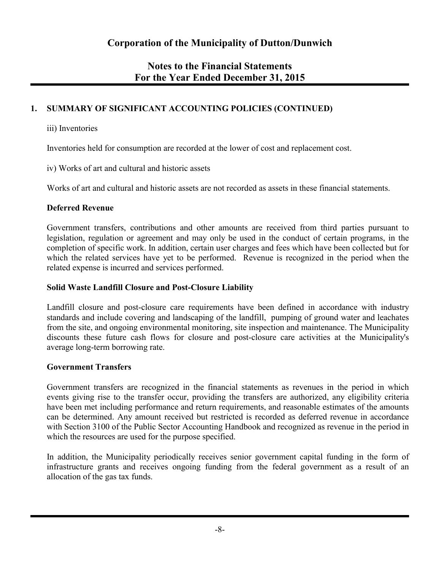### **1. SUMMARY OF SIGNIFICANT ACCOUNTING POLICIES (CONTINUED)**

### iii) Inventories

Inventories held for consumption are recorded at the lower of cost and replacement cost.

iv) Works of art and cultural and historic assets

Works of art and cultural and historic assets are not recorded as assets in these financial statements.

### **Deferred Revenue**

Government transfers, contributions and other amounts are received from third parties pursuant to legislation, regulation or agreement and may only be used in the conduct of certain programs, in the completion of specific work. In addition, certain user charges and fees which have been collected but for which the related services have yet to be performed. Revenue is recognized in the period when the related expense is incurred and services performed.

#### **Solid Waste Landfill Closure and Post-Closure Liability**

Landfill closure and post-closure care requirements have been defined in accordance with industry standards and include covering and landscaping of the landfill, pumping of ground water and leachates from the site, and ongoing environmental monitoring, site inspection and maintenance. The Municipality discounts these future cash flows for closure and post-closure care activities at the Municipality's average long-term borrowing rate.

### **Government Transfers**

Government transfers are recognized in the financial statements as revenues in the period in which events giving rise to the transfer occur, providing the transfers are authorized, any eligibility criteria have been met including performance and return requirements, and reasonable estimates of the amounts can be determined. Any amount received but restricted is recorded as deferred revenue in accordance with Section 3100 of the Public Sector Accounting Handbook and recognized as revenue in the period in which the resources are used for the purpose specified.

In addition, the Municipality periodically receives senior government capital funding in the form of infrastructure grants and receives ongoing funding from the federal government as a result of an allocation of the gas tax funds.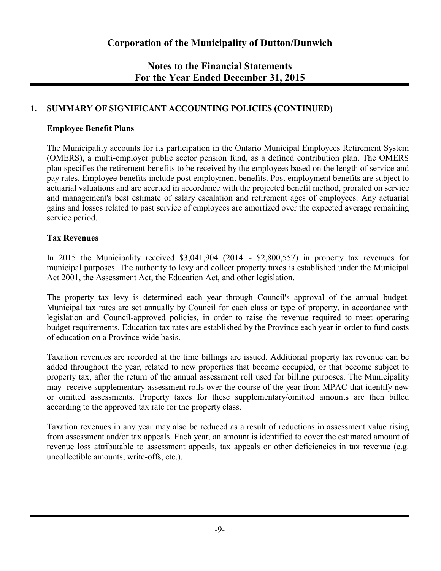### **1. SUMMARY OF SIGNIFICANT ACCOUNTING POLICIES (CONTINUED)**

### **Employee Benefit Plans**

The Municipality accounts for its participation in the Ontario Municipal Employees Retirement System (OMERS), a multi-employer public sector pension fund, as a defined contribution plan. The OMERS plan specifies the retirement benefits to be received by the employees based on the length of service and pay rates. Employee benefits include post employment benefits. Post employment benefits are subject to actuarial valuations and are accrued in accordance with the projected benefit method, prorated on service and management's best estimate of salary escalation and retirement ages of employees. Any actuarial gains and losses related to past service of employees are amortized over the expected average remaining service period.

### **Tax Revenues**

In 2015 the Municipality received \$3,041,904 (2014 - \$2,800,557) in property tax revenues for municipal purposes. The authority to levy and collect property taxes is established under the Municipal Act 2001, the Assessment Act, the Education Act, and other legislation.

The property tax levy is determined each year through Council's approval of the annual budget. Municipal tax rates are set annually by Council for each class or type of property, in accordance with legislation and Council-approved policies, in order to raise the revenue required to meet operating budget requirements. Education tax rates are established by the Province each year in order to fund costs of education on a Province-wide basis.

Taxation revenues are recorded at the time billings are issued. Additional property tax revenue can be added throughout the year, related to new properties that become occupied, or that become subject to property tax, after the return of the annual assessment roll used for billing purposes. The Municipality may receive supplementary assessment rolls over the course of the year from MPAC that identify new or omitted assessments. Property taxes for these supplementary/omitted amounts are then billed according to the approved tax rate for the property class.

Taxation revenues in any year may also be reduced as a result of reductions in assessment value rising from assessment and/or tax appeals. Each year, an amount is identified to cover the estimated amount of revenue loss attributable to assessment appeals, tax appeals or other deficiencies in tax revenue (e.g. uncollectible amounts, write-offs, etc.).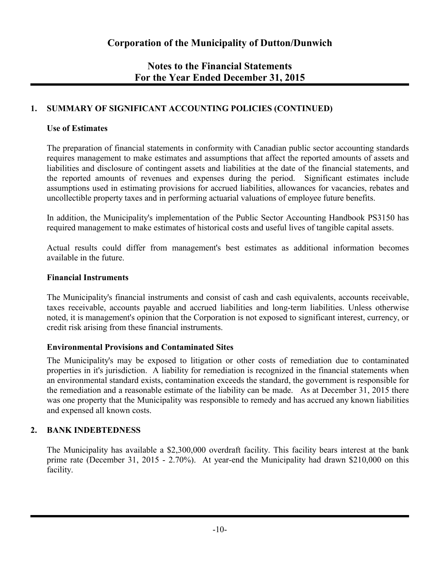### **1. SUMMARY OF SIGNIFICANT ACCOUNTING POLICIES (CONTINUED)**

### **Use of Estimates**

The preparation of financial statements in conformity with Canadian public sector accounting standards requires management to make estimates and assumptions that affect the reported amounts of assets and liabilities and disclosure of contingent assets and liabilities at the date of the financial statements, and the reported amounts of revenues and expenses during the period. Significant estimates include assumptions used in estimating provisions for accrued liabilities, allowances for vacancies, rebates and uncollectible property taxes and in performing actuarial valuations of employee future benefits.

In addition, the Municipality's implementation of the Public Sector Accounting Handbook PS3150 has required management to make estimates of historical costs and useful lives of tangible capital assets.

Actual results could differ from management's best estimates as additional information becomes available in the future.

### **Financial Instruments**

The Municipality's financial instruments and consist of cash and cash equivalents, accounts receivable, taxes receivable, accounts payable and accrued liabilities and long-term liabilities. Unless otherwise noted, it is management's opinion that the Corporation is not exposed to significant interest, currency, or credit risk arising from these financial instruments.

### **Environmental Provisions and Contaminated Sites**

The Municipality's may be exposed to litigation or other costs of remediation due to contaminated properties in it's jurisdiction. A liability for remediation is recognized in the financial statements when an environmental standard exists, contamination exceeds the standard, the government is responsible for the remediation and a reasonable estimate of the liability can be made. As at December 31, 2015 there was one property that the Municipality was responsible to remedy and has accrued any known liabilities and expensed all known costs.

### **2. BANK INDEBTEDNESS**

The Municipality has available a \$2,300,000 overdraft facility. This facility bears interest at the bank prime rate (December 31, 2015 - 2.70%). At year-end the Municipality had drawn \$210,000 on this facility.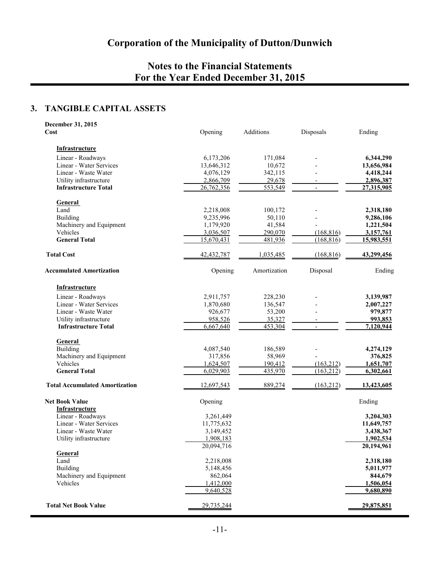### **3. TANGIBLE CAPITAL ASSETS**

| December 31, 2015<br><b>Cost</b>      | Opening                 | Additions    | Disposals  | Ending                  |
|---------------------------------------|-------------------------|--------------|------------|-------------------------|
| <b>Infrastructure</b>                 |                         |              |            |                         |
| Linear - Roadways                     | 6,173,206               | 171,084      |            | 6,344,290               |
| Linear - Water Services               | 13,646,312              | 10,672       |            | 13,656,984              |
| Linear - Waste Water                  | 4,076,129               | 342,115      |            | 4,418,244               |
| Utility infrastructure                | 2,866,709               | 29,678       |            | 2,896,387               |
| <b>Infrastructure Total</b>           | 26,762,356              | 553,549      |            | 27,315,905              |
| <b>General</b>                        |                         |              |            |                         |
| Land                                  | 2,218,008               | 100,172      |            | 2,318,180               |
| <b>Building</b>                       | 9,235,996               | 50,110       |            | 9,286,106               |
| Machinery and Equipment               | 1,179,920               | 41,584       |            | 1,221,504               |
| Vehicles                              | 3,036,507               | 290,070      | (168, 816) | 3,157,761               |
| <b>General Total</b>                  | 15,670,431              | 481,936      | (168, 816) | 15,983,551              |
| <b>Total Cost</b>                     | 42, 432, 787            | 1,035,485    | (168, 816) | 43,299,456              |
| <b>Accumulated Amortization</b>       | Opening                 | Amortization | Disposal   | Ending                  |
| <b>Infrastructure</b>                 |                         |              |            |                         |
| Linear - Roadways                     | 2,911,757               | 228,230      |            | 3,139,987               |
| Linear - Water Services               | 1,870,680               | 136,547      |            | 2,007,227               |
| Linear - Waste Water                  | 926,677                 | 53,200       |            | 979,877                 |
| Utility infrastructure                | 958,526                 | 35,327       |            | 993,853                 |
| <b>Infrastructure Total</b>           | 6,667,640               | 453,304      |            | 7,120,944               |
| <b>General</b>                        |                         |              |            |                         |
| Building                              | 4,087,540               | 186,589      |            | 4,274,129               |
| Machinery and Equipment               | 317,856                 | 58,969       |            | 376,825                 |
| Vehicles                              | 1,624,507               | 190,412      | (163,212)  | 1,651,707               |
| <b>General Total</b>                  | 6,029,903               | 435,970      | (163, 212) | 6,302,661               |
| <b>Total Accumulated Amortization</b> | 12,697,543              | 889,274      | (163,212)  | 13,423,605              |
| <b>Net Book Value</b>                 | Opening                 |              |            | Ending                  |
| <b>Infrastructure</b>                 |                         |              |            |                         |
| Linear - Roadways                     | 3,261,449               |              |            | 3,204,303               |
| Linear - Water Services               | 11,775,632              |              |            | 11,649,757              |
| Linear - Waste Water                  | 3,149,452               |              |            | 3,438,367               |
| Utility infrastructure                | 1,908,183<br>20,094,716 |              |            | 1,902,534<br>20,194,961 |
| General                               |                         |              |            |                         |
| Land                                  | 2,218,008               |              |            | 2,318,180               |
| <b>Building</b>                       | 5,148,456               |              |            | 5,011,977               |
| Machinery and Equipment               | 862,064                 |              |            | 844,679                 |
| Vehicles                              | 1,412,000               |              |            | 1,506,054               |
|                                       | 9,640,528               |              |            | 9,680,890               |
| <b>Total Net Book Value</b>           | 29,735,244              |              |            | 29,875,851              |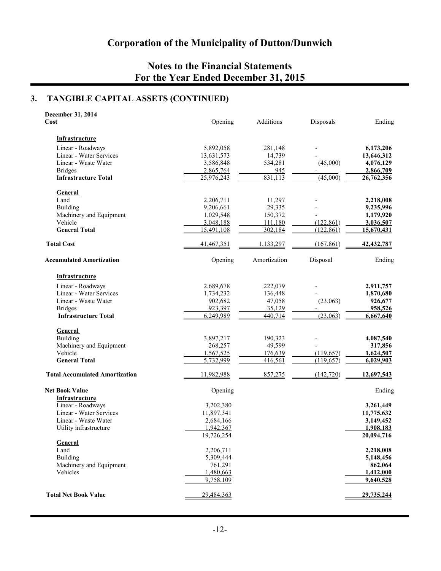### **3. TANGIBLE CAPITAL ASSETS (CONTINUED)**

| December 31, 2014                     |                         |              |            |                         |
|---------------------------------------|-------------------------|--------------|------------|-------------------------|
| Cost                                  | Opening                 | Additions    | Disposals  | Ending                  |
| <b>Infrastructure</b>                 |                         |              |            |                         |
| Linear - Roadways                     | 5,892,058               | 281,148      |            | 6,173,206               |
| Linear - Water Services               | 13,631,573              | 14,739       |            | 13,646,312              |
| Linear - Waste Water                  | 3,586,848               | 534,281      | (45,000)   | 4,076,129               |
| <b>Bridges</b>                        | 2,865,764               | 945          |            | 2,866,709               |
| <b>Infrastructure Total</b>           | 25,976,243              | 831,113      | (45,000)   | 26,762,356              |
| <b>General</b>                        |                         |              |            |                         |
| Land                                  | 2,206,711               | 11,297       |            | 2,218,008               |
| <b>Building</b>                       | 9,206,661               | 29,335       |            | 9,235,996               |
| Machinery and Equipment               | 1,029,548               | 150,372      |            | 1,179,920               |
| Vehicle                               | 3,048,188               | 111,180      | (122, 861) | 3,036,507               |
| <b>General Total</b>                  | 15,491,108              | 302,184      | (122, 861) | 15,670,431              |
| <b>Total Cost</b>                     | 41,467,351              | 1,133,297    | (167, 861) | 42, 432, 787            |
| <b>Accumulated Amortization</b>       | Opening                 | Amortization | Disposal   | Ending                  |
| <b>Infrastructure</b>                 |                         |              |            |                         |
| Linear - Roadways                     | 2,689,678               | 222,079      |            | 2,911,757               |
| Linear - Water Services               | 1,734,232               | 136,448      |            | 1,870,680               |
| Linear - Waste Water                  | 902,682                 | 47,058       | (23,063)   | 926,677                 |
| <b>Bridges</b>                        | 923,397                 | 35,129       |            | 958,526                 |
| <b>Infrastructure Total</b>           | 6,249,989               | 440,714      | (23,063)   | 6,667,640               |
| General                               |                         |              |            |                         |
| Building                              | 3,897,217               | 190,323      |            | 4,087,540               |
| Machinery and Equipment               | 268,257                 | 49,599       |            | 317,856                 |
| Vehicle                               | 1,567,525               | 176,639      | (119, 657) | 1,624,507               |
| <b>General Total</b>                  | 5,732,999               | 416,561      | (119, 657) | 6,029,903               |
| <b>Total Accumulated Amortization</b> | 11,982,988              | 857,275      | (142, 720) | 12,697,543              |
| <b>Net Book Value</b>                 | Opening                 |              |            | Ending                  |
| <b>Infrastructure</b>                 |                         |              |            |                         |
| Linear - Roadways                     | 3,202,380               |              |            | 3,261,449               |
| Linear - Water Services               | 11,897,341              |              |            | 11,775,632              |
| Linear - Waste Water                  | 2,684,166               |              |            | 3,149,452               |
| Utility infrastructure                | 1,942,367<br>19,726,254 |              |            | 1,908,183<br>20,094,716 |
| General                               |                         |              |            |                         |
| Land                                  | 2,206,711               |              |            | 2,218,008               |
| <b>Building</b>                       | 5,309,444               |              |            | 5,148,456               |
| Machinery and Equipment               | 761,291                 |              |            | 862,064                 |
| Vehicles                              | 1,480,663               |              |            | 1,412,000               |
|                                       | 9,758,109               |              |            | 9,640,528               |
| <b>Total Net Book Value</b>           | 29,484,363              |              |            | 29,735,244              |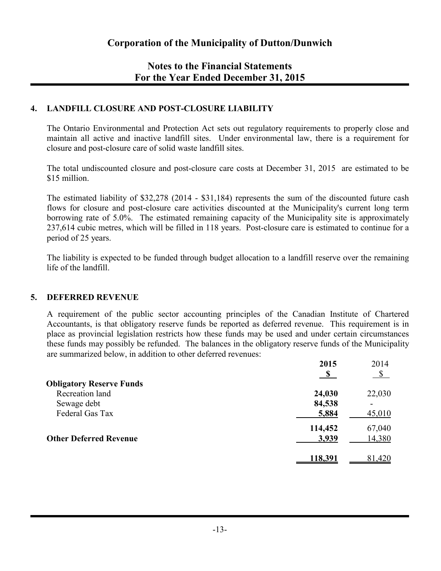### **4. LANDFILL CLOSURE AND POST-CLOSURE LIABILITY**

The Ontario Environmental and Protection Act sets out regulatory requirements to properly close and maintain all active and inactive landfill sites. Under environmental law, there is a requirement for closure and post-closure care of solid waste landfill sites.

The total undiscounted closure and post-closure care costs at December 31, 2015 are estimated to be \$15 million.

The estimated liability of \$32,278 (2014 - \$31,184) represents the sum of the discounted future cash flows for closure and post-closure care activities discounted at the Municipality's current long term borrowing rate of 5.0%. The estimated remaining capacity of the Municipality site is approximately 237,614 cubic metres, which will be filled in 118 years. Post-closure care is estimated to continue for a period of 25 years.

The liability is expected to be funded through budget allocation to a landfill reserve over the remaining life of the landfill.

### **5. DEFERRED REVENUE**

A requirement of the public sector accounting principles of the Canadian Institute of Chartered Accountants, is that obligatory reserve funds be reported as deferred revenue. This requirement is in place as provincial legislation restricts how these funds may be used and under certain circumstances these funds may possibly be refunded. The balances in the obligatory reserve funds of the Municipality are summarized below, in addition to other deferred revenues:

|                                 | 2015    | 2014          |
|---------------------------------|---------|---------------|
|                                 | -S      | $\mathcal{S}$ |
| <b>Obligatory Reserve Funds</b> |         |               |
| Recreation land                 | 24,030  | 22,030        |
| Sewage debt                     | 84,538  |               |
| Federal Gas Tax                 | 5,884   | 45,010        |
|                                 | 114,452 | 67,040        |
| <b>Other Deferred Revenue</b>   | 3,939   | 14,380        |
|                                 | 118,391 | 81,420        |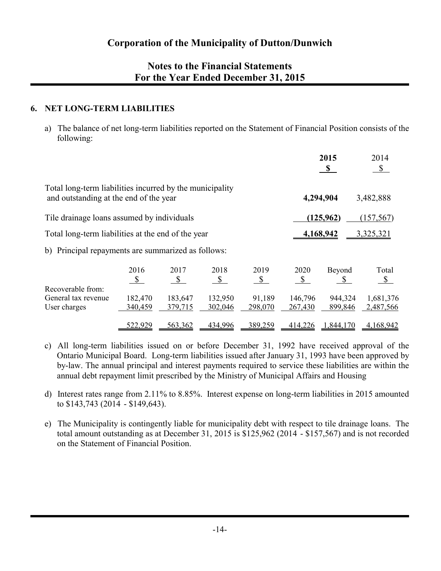#### **6. NET LONG-TERM LIABILITIES**

a) The balance of net long-term liabilities reported on the Statement of Financial Position consists of the following:

|                                                                                                    |                       |                       |                       |                       |                       | 2015<br>$\mathbf{s}$    | 2014<br>$\mathbb{S}$   |
|----------------------------------------------------------------------------------------------------|-----------------------|-----------------------|-----------------------|-----------------------|-----------------------|-------------------------|------------------------|
| Total long-term liabilities incurred by the municipality<br>and outstanding at the end of the year |                       |                       |                       |                       |                       | 4,294,904               | 3,482,888              |
| Tile drainage loans assumed by individuals                                                         |                       |                       |                       |                       |                       | (125,962)               | (157, 567)             |
| Total long-term liabilities at the end of the year                                                 |                       |                       |                       |                       |                       | 4,168,942               | 3,325,321              |
| b) Principal repayments are summarized as follows:                                                 |                       |                       |                       |                       |                       |                         |                        |
|                                                                                                    | 2016<br>$\mathcal{S}$ | 2017<br>$\mathcal{S}$ | 2018<br>$\mathcal{S}$ | 2019<br>$\mathcal{S}$ | 2020<br>$\mathcal{S}$ | Beyond<br>$\mathcal{L}$ | Total<br>$\mathbb{S}$  |
| Recoverable from:<br>General tax revenue<br>User charges                                           | 182,470<br>340,459    | 183,647<br>379,715    | 132,950<br>302,046    | 91,189<br>298,070     | 146,796<br>267,430    | 944,324<br>899,846      | 1,681,376<br>2,487,566 |
|                                                                                                    | 522,929               | 563,362               | 434,996               | 389,259               | 414,226               | 1,844,170               | 4,168,942              |

- c) All long-term liabilities issued on or before December 31, 1992 have received approval of the Ontario Municipal Board. Long-term liabilities issued after January 31, 1993 have been approved by by-law. The annual principal and interest payments required to service these liabilities are within the annual debt repayment limit prescribed by the Ministry of Municipal Affairs and Housing
- d) Interest rates range from 2.11% to 8.85%. Interest expense on long-term liabilities in 2015 amounted to \$143,743 (2014 - \$149,643).
- e) The Municipality is contingently liable for municipality debt with respect to tile drainage loans. The total amount outstanding as at December 31, 2015 is \$125,962 (2014 - \$157,567) and is not recorded on the Statement of Financial Position.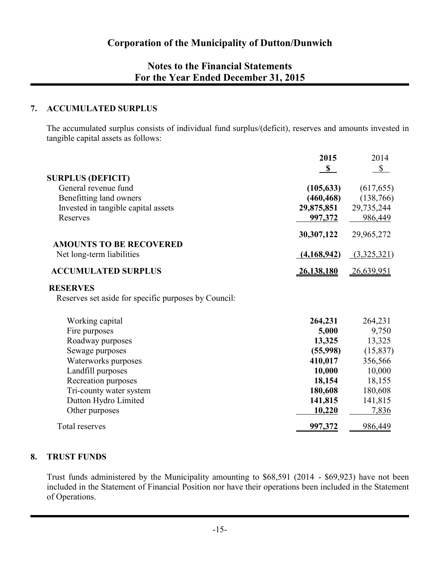### **7. ACCUMULATED SURPLUS**

The accumulated surplus consists of individual fund surplus/(deficit), reserves and amounts invested in tangible capital assets as follows:

|                                                      | 2015         | 2014         |
|------------------------------------------------------|--------------|--------------|
|                                                      | $\mathbf{s}$ | $\mathbb{S}$ |
| <b>SURPLUS (DEFICIT)</b>                             |              |              |
| General revenue fund                                 | (105, 633)   | (617, 655)   |
| Benefitting land owners                              | (460, 468)   | (138, 766)   |
| Invested in tangible capital assets                  | 29,875,851   | 29,735,244   |
| Reserves                                             | 997,372      | 986,449      |
|                                                      | 30,307,122   | 29,965,272   |
| <b>AMOUNTS TO BE RECOVERED</b>                       |              |              |
| Net long-term liabilities                            | (4,168,942)  | (3,325,321)  |
| <b>ACCUMULATED SURPLUS</b>                           | 26,138,180   | 26,639,951   |
| <b>RESERVES</b>                                      |              |              |
| Reserves set aside for specific purposes by Council: |              |              |
| Working capital                                      | 264,231      | 264,231      |
| Fire purposes                                        | 5,000        | 9,750        |
| Roadway purposes                                     | 13,325       | 13,325       |
| Sewage purposes                                      | (55,998)     | (15, 837)    |
| Waterworks purposes                                  | 410,017      | 356,566      |
| Landfill purposes                                    | 10,000       | 10,000       |
| Recreation purposes                                  | 18,154       | 18,155       |
| Tri-county water system                              | 180,608      | 180,608      |
| Dutton Hydro Limited                                 | 141,815      | 141,815      |
| Other purposes                                       | 10,220       | 7,836        |
| Total reserves                                       | 997,372      | 986,449      |

### **8. TRUST FUNDS**

Trust funds administered by the Municipality amounting to \$68,591 (2014 - \$69,923) have not been included in the Statement of Financial Position nor have their operations been included in the Statement of Operations.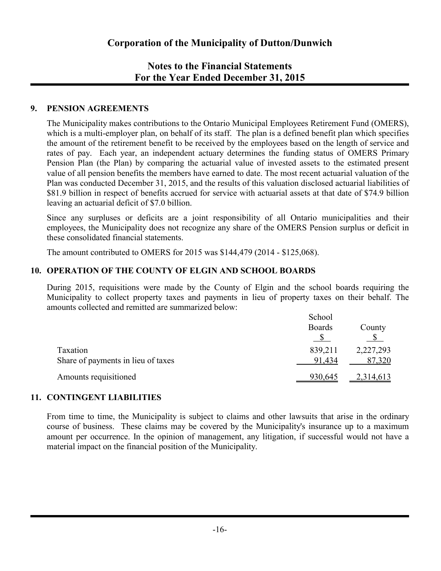### **9. PENSION AGREEMENTS**

The Municipality makes contributions to the Ontario Municipal Employees Retirement Fund (OMERS), which is a multi-employer plan, on behalf of its staff. The plan is a defined benefit plan which specifies the amount of the retirement benefit to be received by the employees based on the length of service and rates of pay. Each year, an independent actuary determines the funding status of OMERS Primary Pension Plan (the Plan) by comparing the actuarial value of invested assets to the estimated present value of all pension benefits the members have earned to date. The most recent actuarial valuation of the Plan was conducted December 31, 2015, and the results of this valuation disclosed actuarial liabilities of \$81.9 billion in respect of benefits accrued for service with actuarial assets at that date of \$74.9 billion leaving an actuarial deficit of \$7.0 billion.

Since any surpluses or deficits are a joint responsibility of all Ontario municipalities and their employees, the Municipality does not recognize any share of the OMERS Pension surplus or deficit in these consolidated financial statements.

The amount contributed to OMERS for 2015 was \$144,479 (2014 - \$125,068).

### **10. OPERATION OF THE COUNTY OF ELGIN AND SCHOOL BOARDS**

During 2015, requisitions were made by the County of Elgin and the school boards requiring the Municipality to collect property taxes and payments in lieu of property taxes on their behalf. The amounts collected and remitted are summarized below:

|                                    | School         |                  |
|------------------------------------|----------------|------------------|
|                                    | <b>Boards</b>  | County           |
|                                    |                |                  |
| Taxation                           | 839,211        | 2,227,293        |
| Share of payments in lieu of taxes | 91.434         | 87,320           |
| Amounts requisitioned              | <u>930,645</u> | <u>2,314,613</u> |

### **11. CONTINGENT LIABILITIES**

From time to time, the Municipality is subject to claims and other lawsuits that arise in the ordinary course of business. These claims may be covered by the Municipality's insurance up to a maximum amount per occurrence. In the opinion of management, any litigation, if successful would not have a material impact on the financial position of the Municipality.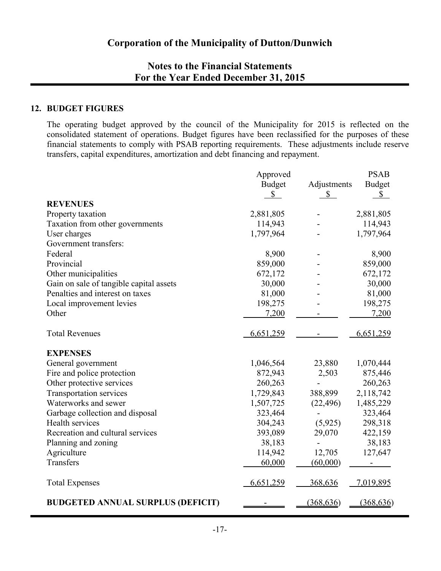#### **12. BUDGET FIGURES**

The operating budget approved by the council of the Municipality for 2015 is reflected on the consolidated statement of operations. Budget figures have been reclassified for the purposes of these financial statements to comply with PSAB reporting requirements. These adjustments include reserve transfers, capital expenditures, amortization and debt financing and repayment.

|                                          | Approved      |              | <b>PSAB</b>   |
|------------------------------------------|---------------|--------------|---------------|
|                                          | <b>Budget</b> | Adjustments  | <b>Budget</b> |
|                                          | \$            | $\mathbb{S}$ | \$            |
| <b>REVENUES</b>                          |               |              |               |
| Property taxation                        | 2,881,805     |              | 2,881,805     |
| Taxation from other governments          | 114,943       |              | 114,943       |
| User charges                             | 1,797,964     |              | 1,797,964     |
| Government transfers:                    |               |              |               |
| Federal                                  | 8,900         |              | 8,900         |
| Provincial                               | 859,000       |              | 859,000       |
| Other municipalities                     | 672,172       |              | 672,172       |
| Gain on sale of tangible capital assets  | 30,000        |              | 30,000        |
| Penalties and interest on taxes          | 81,000        |              | 81,000        |
| Local improvement levies                 | 198,275       |              | 198,275       |
| Other                                    | 7,200         |              | 7,200         |
| <b>Total Revenues</b>                    | 6,651,259     |              | 6,651,259     |
| <b>EXPENSES</b>                          |               |              |               |
| General government                       | 1,046,564     | 23,880       | 1,070,444     |
| Fire and police protection               | 872,943       | 2,503        | 875,446       |
| Other protective services                | 260,263       |              | 260,263       |
| Transportation services                  | 1,729,843     | 388,899      | 2,118,742     |
| Waterworks and sewer                     | 1,507,725     | (22, 496)    | 1,485,229     |
| Garbage collection and disposal          | 323,464       |              | 323,464       |
| Health services                          | 304,243       | (5,925)      | 298,318       |
| Recreation and cultural services         | 393,089       | 29,070       | 422,159       |
| Planning and zoning                      | 38,183        |              | 38,183        |
| Agriculture                              | 114,942       | 12,705       | 127,647       |
| Transfers                                | 60,000        | (60,000)     |               |
| <b>Total Expenses</b>                    | 6,651,259     | 368,636      | 7,019,895     |
| <b>BUDGETED ANNUAL SURPLUS (DEFICIT)</b> |               | (368, 636)   | (368, 636)    |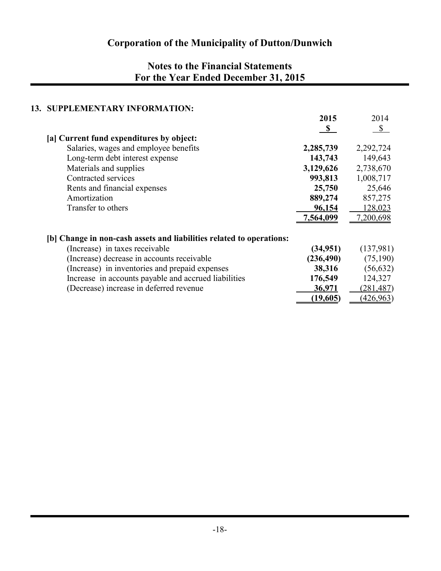### **13. SUPPLEMENTARY INFORMATION:**

|                                                                      | 2015         | 2014       |
|----------------------------------------------------------------------|--------------|------------|
|                                                                      | $\mathbf{s}$ | \$         |
| [a] Current fund expenditures by object:                             |              |            |
| Salaries, wages and employee benefits                                | 2,285,739    | 2,292,724  |
| Long-term debt interest expense                                      | 143,743      | 149,643    |
| Materials and supplies                                               | 3,129,626    | 2,738,670  |
| Contracted services                                                  | 993,813      | 1,008,717  |
| Rents and financial expenses                                         | 25,750       | 25,646     |
| Amortization                                                         | 889,274      | 857,275    |
| Transfer to others                                                   | 96,154       | 128,023    |
|                                                                      | 7,564,099    | 7,200,698  |
| [b] Change in non-cash assets and liabilities related to operations: |              |            |
| (Increase) in taxes receivable                                       | (34,951)     | (137,981)  |
| (Increase) decrease in accounts receivable                           | (236, 490)   | (75, 190)  |
| (Increase) in inventories and prepaid expenses                       | 38,316       | (56, 632)  |
| Increase in accounts payable and accrued liabilities                 | 176,549      | 124,327    |
| (Decrease) increase in deferred revenue                              | 36,971       | (281, 487) |
|                                                                      | (19,605)     | (426, 963) |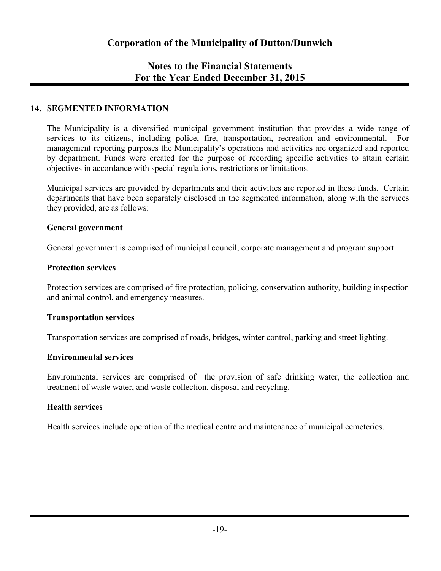### **14. SEGMENTED INFORMATION**

The Municipality is a diversified municipal government institution that provides a wide range of services to its citizens, including police, fire, transportation, recreation and environmental. For management reporting purposes the Municipality's operations and activities are organized and reported by department. Funds were created for the purpose of recording specific activities to attain certain objectives in accordance with special regulations, restrictions or limitations.

Municipal services are provided by departments and their activities are reported in these funds. Certain departments that have been separately disclosed in the segmented information, along with the services they provided, are as follows:

#### **General government**

General government is comprised of municipal council, corporate management and program support.

#### **Protection services**

Protection services are comprised of fire protection, policing, conservation authority, building inspection and animal control, and emergency measures.

### **Transportation services**

Transportation services are comprised of roads, bridges, winter control, parking and street lighting.

#### **Environmental services**

Environmental services are comprised of the provision of safe drinking water, the collection and treatment of waste water, and waste collection, disposal and recycling.

### **Health services**

Health services include operation of the medical centre and maintenance of municipal cemeteries.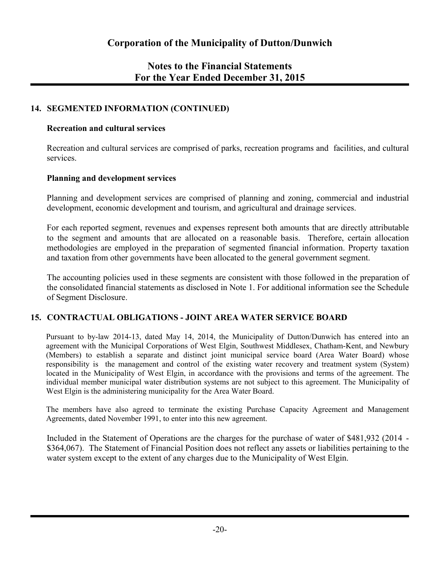### **14. SEGMENTED INFORMATION (CONTINUED)**

#### **Recreation and cultural services**

Recreation and cultural services are comprised of parks, recreation programs and facilities, and cultural services.

### **Planning and development services**

Planning and development services are comprised of planning and zoning, commercial and industrial development, economic development and tourism, and agricultural and drainage services.

For each reported segment, revenues and expenses represent both amounts that are directly attributable to the segment and amounts that are allocated on a reasonable basis. Therefore, certain allocation methodologies are employed in the preparation of segmented financial information. Property taxation and taxation from other governments have been allocated to the general government segment.

The accounting policies used in these segments are consistent with those followed in the preparation of the consolidated financial statements as disclosed in Note 1. For additional information see the Schedule of Segment Disclosure.

### **15. CONTRACTUAL OBLIGATIONS - JOINT AREA WATER SERVICE BOARD**

Pursuant to by-law 2014-13, dated May 14, 2014, the Municipality of Dutton/Dunwich has entered into an agreement with the Municipal Corporations of West Elgin, Southwest Middlesex, Chatham-Kent, and Newbury (Members) to establish a separate and distinct joint municipal service board (Area Water Board) whose responsibility is the management and control of the existing water recovery and treatment system (System) located in the Municipality of West Elgin, in accordance with the provisions and terms of the agreement. The individual member municipal water distribution systems are not subject to this agreement. The Municipality of West Elgin is the administering municipality for the Area Water Board.

The members have also agreed to terminate the existing Purchase Capacity Agreement and Management Agreements, dated November 1991, to enter into this new agreement.

Included in the Statement of Operations are the charges for the purchase of water of \$481,932 (2014 - \$364,067). The Statement of Financial Position does not reflect any assets or liabilities pertaining to the water system except to the extent of any charges due to the Municipality of West Elgin.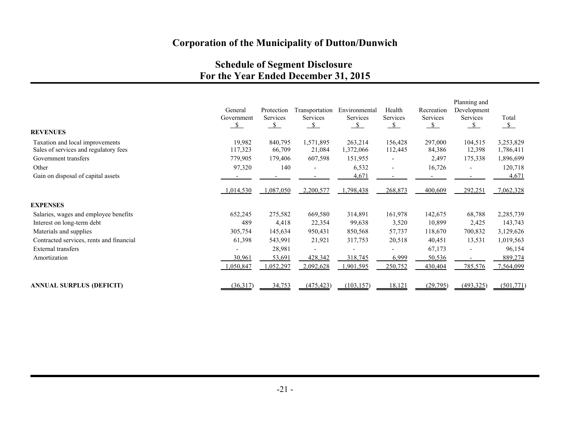### **Schedule of Segment Disclosure For the Year Ended December 31, 2015**

| <b>REVENUES</b>                                                          | General<br>Government<br>$\_$ | Protection<br>Services<br>$\mathcal{S}$ | Transportation<br><b>Services</b><br>$\mathcal{S}$ | Environmental<br>Services<br>S. | Health<br>Services<br>$\mathcal{S}$ | Recreation<br>Services<br>$\mathcal{S}$ | Planning and<br>Development<br>Services<br>$\mathcal{S}$ | Total<br>$\mathcal{S}$ |
|--------------------------------------------------------------------------|-------------------------------|-----------------------------------------|----------------------------------------------------|---------------------------------|-------------------------------------|-----------------------------------------|----------------------------------------------------------|------------------------|
|                                                                          |                               | 840,795                                 | 1,571,895                                          |                                 |                                     |                                         |                                                          | 3,253,829              |
| Taxation and local improvements<br>Sales of services and regulatory fees | 19,982<br>117,323             | 66,709                                  | 21,084                                             | 263,214<br>1,372,066            | 156,428<br>112,445                  | 297,000<br>84,386                       | 104,515<br>12,398                                        | 1,786,411              |
| Government transfers                                                     | 779,905                       | 179,406                                 | 607,598                                            | 151,955                         | $\overline{\phantom{a}}$            | 2,497                                   | 175,338                                                  | 1,896,699              |
| Other                                                                    | 97,320                        | 140                                     |                                                    | 6,532                           | $\overline{\phantom{a}}$            | 16,726                                  |                                                          | 120,718                |
| Gain on disposal of capital assets                                       |                               |                                         |                                                    | 4,671                           |                                     |                                         |                                                          | 4,671                  |
|                                                                          | 1,014,530                     | 1,087,050                               | 2,200,577                                          | 1,798,438                       | 268,873                             | 400,609                                 | 292,251                                                  | 7,062,328              |
| <b>EXPENSES</b>                                                          |                               |                                         |                                                    |                                 |                                     |                                         |                                                          |                        |
| Salaries, wages and employee benefits                                    | 652,245                       | 275,582                                 | 669,580                                            | 314,891                         | 161,978                             | 142,675                                 | 68,788                                                   | 2,285,739              |
| Interest on long-term debt                                               | 489                           | 4,418                                   | 22,354                                             | 99,638                          | 3,520                               | 10,899                                  | 2,425                                                    | 143,743                |
| Materials and supplies                                                   | 305,754                       | 145,634                                 | 950,431                                            | 850,568                         | 57,737                              | 118,670                                 | 700,832                                                  | 3,129,626              |
| Contracted services, rents and financial                                 | 61,398                        | 543,991                                 | 21,921                                             | 317,753                         | 20,518                              | 40,451                                  | 13,531                                                   | 1,019,563              |
| <b>External transfers</b>                                                |                               | 28,981                                  |                                                    |                                 |                                     | 67,173                                  | $\overline{\phantom{a}}$                                 | 96,154                 |
| Amortization                                                             | 30,961                        | 53,691                                  | 428,342                                            | 318,745                         | 6,999                               | 50,536                                  |                                                          | 889,274                |
|                                                                          | 1,050,847                     | 1,052,297                               | 2,092,628                                          | 1,901,595                       | 250,752                             | 430,404                                 | 785,576                                                  | 7,564,099              |
| ANNUAL SURPLUS (DEFICIT)                                                 | (36,317)                      | 34,753                                  | (475, 423)                                         | (103, 157)                      | 18,121                              | (29,795)                                | (493,325)                                                | (501, 771)             |